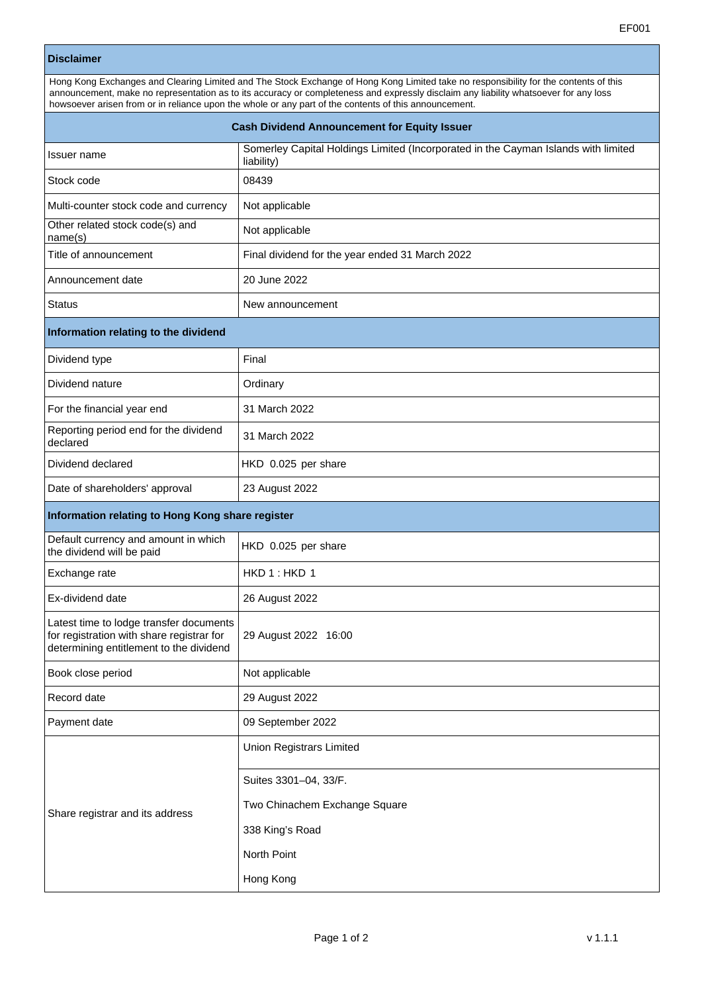## **Disclaimer**

| Hong Kong Exchanges and Clearing Limited and The Stock Exchange of Hong Kong Limited take no responsibility for the contents of this<br>announcement, make no representation as to its accuracy or completeness and expressly disclaim any liability whatsoever for any loss<br>howsoever arisen from or in reliance upon the whole or any part of the contents of this announcement. |  |  |
|---------------------------------------------------------------------------------------------------------------------------------------------------------------------------------------------------------------------------------------------------------------------------------------------------------------------------------------------------------------------------------------|--|--|
| <b>Cash Dividend Announcement for Equity Issuer</b>                                                                                                                                                                                                                                                                                                                                   |  |  |

| Issuer name                                                                                                                     | Somerley Capital Holdings Limited (Incorporated in the Cayman Islands with limited<br>liability) |  |
|---------------------------------------------------------------------------------------------------------------------------------|--------------------------------------------------------------------------------------------------|--|
| Stock code                                                                                                                      | 08439                                                                                            |  |
| Multi-counter stock code and currency                                                                                           | Not applicable                                                                                   |  |
| Other related stock code(s) and<br>name(s)                                                                                      | Not applicable                                                                                   |  |
| Title of announcement                                                                                                           | Final dividend for the year ended 31 March 2022                                                  |  |
| Announcement date                                                                                                               | 20 June 2022                                                                                     |  |
| Status                                                                                                                          | New announcement                                                                                 |  |
| Information relating to the dividend                                                                                            |                                                                                                  |  |
| Dividend type                                                                                                                   | Final                                                                                            |  |
| Dividend nature                                                                                                                 | Ordinary                                                                                         |  |
| For the financial year end                                                                                                      | 31 March 2022                                                                                    |  |
| Reporting period end for the dividend<br>declared                                                                               | 31 March 2022                                                                                    |  |
| Dividend declared                                                                                                               | HKD 0.025 per share                                                                              |  |
| Date of shareholders' approval                                                                                                  | 23 August 2022                                                                                   |  |
| Information relating to Hong Kong share register                                                                                |                                                                                                  |  |
| Default currency and amount in which<br>the dividend will be paid                                                               | HKD 0.025 per share                                                                              |  |
| Exchange rate                                                                                                                   | HKD 1: HKD 1                                                                                     |  |
| Ex-dividend date                                                                                                                | 26 August 2022                                                                                   |  |
| Latest time to lodge transfer documents<br>for registration with share registrar for<br>determining entitlement to the dividend | 29 August 2022 16:00                                                                             |  |
| Book close period                                                                                                               | Not applicable                                                                                   |  |
| Record date                                                                                                                     | 29 August 2022                                                                                   |  |
| Payment date                                                                                                                    | 09 September 2022                                                                                |  |
| Share registrar and its address                                                                                                 | Union Registrars Limited                                                                         |  |
|                                                                                                                                 | Suites 3301-04, 33/F.                                                                            |  |
|                                                                                                                                 | Two Chinachem Exchange Square                                                                    |  |
|                                                                                                                                 | 338 King's Road                                                                                  |  |
|                                                                                                                                 | North Point                                                                                      |  |
|                                                                                                                                 | Hong Kong                                                                                        |  |